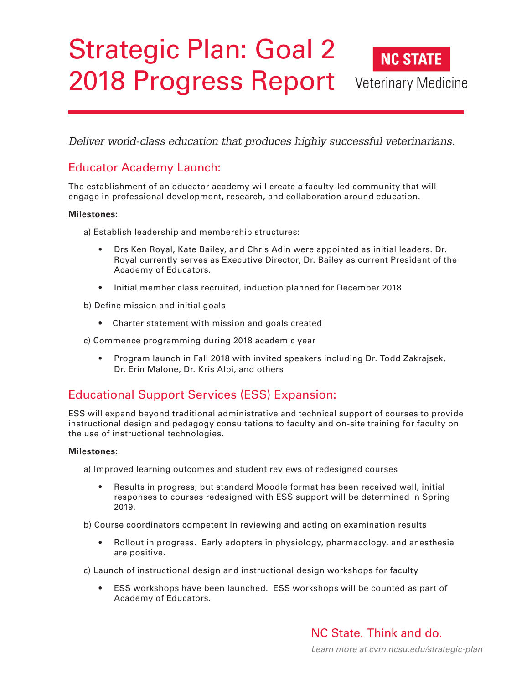# Strategic Plan: Goal 2 **NC STATE** 2018 Progress Report Veterinary Medicine

*Deliver world-class education that produces highly successful veterinarians.*

## Educator Academy Launch:

The establishment of an educator academy will create a faculty-led community that will engage in professional development, research, and collaboration around education.

### **Milestones:**

a) Establish leadership and membership structures:

- Drs Ken Royal, Kate Bailey, and Chris Adin were appointed as initial leaders. Dr. Royal currently serves as Executive Director, Dr. Bailey as current President of the Academy of Educators.
- Initial member class recruited, induction planned for December 2018

b) Define mission and initial goals

• Charter statement with mission and goals created

c) Commence programming during 2018 academic year

• Program launch in Fall 2018 with invited speakers including Dr. Todd Zakrajsek, Dr. Erin Malone, Dr. Kris Alpi, and others

### Educational Support Services (ESS) Expansion:

ESS will expand beyond traditional administrative and technical support of courses to provide instructional design and pedagogy consultations to faculty and on-site training for faculty on the use of instructional technologies.

#### **Milestones:**

a) Improved learning outcomes and student reviews of redesigned courses

• Results in progress, but standard Moodle format has been received well, initial responses to courses redesigned with ESS support will be determined in Spring 2019.

b) Course coordinators competent in reviewing and acting on examination results

• Rollout in progress. Early adopters in physiology, pharmacology, and anesthesia are positive.

c) Launch of instructional design and instructional design workshops for faculty

• ESS workshops have been launched. ESS workshops will be counted as part of Academy of Educators.